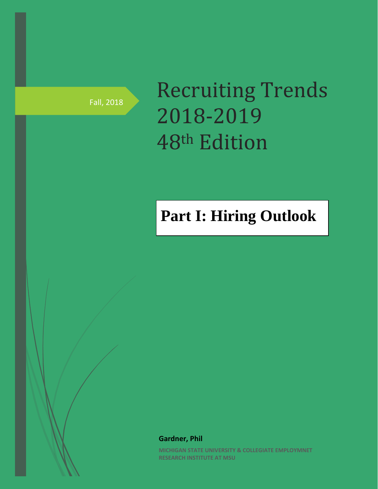Fall, 2018

# Recruiting Trends 2018-2019 48th Edition

# **Part I: Hiring Outlook**

**Gardner, Phil**

**MICHIGAN STATE UNIVERSITY & COLLEGIATE EMPLOYMNET RESEARCH INSTITUTE AT MSU**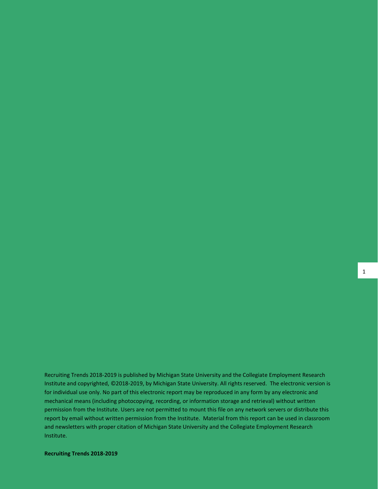Recruiting Trends 2018-2019 is published by Michigan State University and the Collegiate Employment Research Institute and copyrighted, ©2018-2019, by Michigan State University. All rights reserved. The electronic version is for individual use only. No part of this electronic report may be reproduced in any form by any electronic and mechanical means (including photocopying, recording, or information storage and retrieval) without written permission from the Institute. Users are not permitted to mount this file on any network servers or distribute this report by email without written permission from the Institute. Material from this report can be used in classroom and newsletters with proper citation of Michigan State University and the Collegiate Employment Research Institute.

**Recruiting Trends 2018-2019**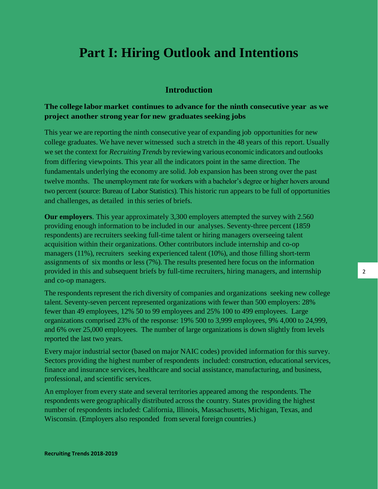# **Part I: Hiring Outlook and Intentions**

### **Introduction**

## **The college labor market continues to advance for the ninth consecutive year as we project another strong year for new graduates seeking jobs**

This year we are reporting the ninth consecutive year of expanding job opportunities for new college graduates. We have never witnessed such a stretch in the 48 years of this report. Usually we set the context for *Recruiting Trends* by reviewing various economic indicators and outlooks from differing viewpoints. This year all the indicators point in the same direction. The fundamentals underlying the economy are solid. Job expansion has been strong over the past twelve months. The unemployment rate for workers with a bachelor's degree or higher hovers around two percent (source: Bureau of Labor Statistics). This historic run appears to be full of opportunities and challenges, as detailed in this series of briefs.

**Our employers**. This year approximately 3,300 employers attempted the survey with 2.560 providing enough information to be included in our analyses. Seventy-three percent (1859 respondents) are recruiters seeking full-time talent or hiring managers overseeing talent acquisition within their organizations. Other contributors include internship and co-op managers (11%), recruiters seeking experienced talent (10%), and those filling short-term assignments of six months or less (7%). The results presented here focus on the information provided in this and subsequent briefs by full-time recruiters, hiring managers, and internship and co-op managers.

The respondents represent the rich diversity of companies and organizations seeking new college talent. Seventy-seven percent represented organizations with fewer than 500 employers: 28% fewer than 49 employees, 12% 50 to 99 employees and 25% 100 to 499 employees. Large organizations comprised 23% of the response: 19% 500 to 3,999 employees, 9% 4,000 to 24,999, and 6% over 25,000 employees. The number of large organizations is down slightly from levels reported the last two years.

Every major industrial sector (based on major NAIC codes) provided information for this survey. Sectors providing the highest number of respondents included: construction, educational services, finance and insurance services, healthcare and social assistance, manufacturing, and business, professional, and scientific services.

An employer from every state and several territories appeared among the respondents. The respondents were geographically distributed across the country. States providing the highest number of respondents included: California, Illinois, Massachusetts, Michigan, Texas, and Wisconsin. (Employers also responded from several foreign countries.)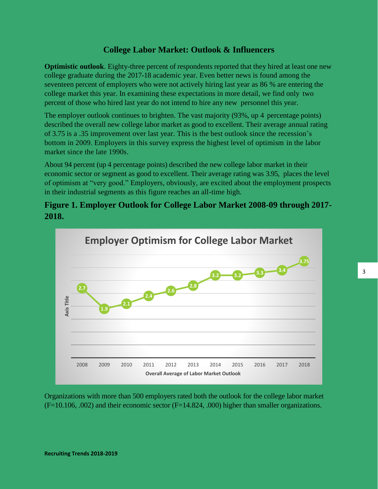# **College Labor Market: Outlook & Influencers**

**Optimistic outlook**. Eighty-three percent of respondents reported that they hired at least one new college graduate during the 2017-18 academic year. Even better news is found among the seventeen percent of employers who were not actively hiring last year as 86 % are entering the college market this year. In examining these expectations in more detail, we find only two percent of those who hired last year do not intend to hire any new personnel this year.

The employer outlook continues to brighten. The vast majority (93%, up 4 percentage points) described the overall new college labor market as good to excellent. Their average annual rating of 3.75 is a .35 improvement over last year. This is the best outlook since the recession's bottom in 2009. Employers in this survey express the highest level of optimism in the labor market since the late 1990s.

About 94 percent (up 4 percentage points) described the new college labor market in their economic sector or segment as good to excellent. Their average rating was 3.95, places the level of optimism at "very good." Employers, obviously, are excited about the employment prospects in their industrial segments as this figure reaches an all-time high.

# **Figure 1. Employer Outlook for College Labor Market 2008-09 through 2017- 2018.**



Organizations with more than 500 employers rated both the outlook for the college labor market  $(F=10.106, .002)$  and their economic sector  $(F=14.824, .000)$  higher than smaller organizations.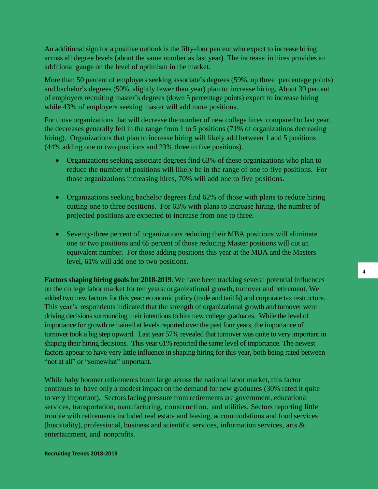An additional sign for a positive outlook is the fifty-four percent who expect to increase hiring across all degree levels (about the same number as last year). The increase in hires provides an additional gauge on the level of optimism in the market.

More than 50 percent of employers seeking associate's degrees (59%, up three percentage points) and bachelor's degrees (50%, slightly fewer than year) plan to increase hiring. About 39 percent of employers recruiting master's degrees (down 5 percentage points) expect to increase hiring while 43% of employers seeking master will add more positions.

For those organizations that will decrease the number of new college hires compared to last year, the decreases generally fell in the range from 1 to 5 positions (71% of organizations decreasing hiring). Organizations that plan to increase hiring will likely add between 1 and 5 positions (44% adding one or two positions and 23% three to five positions).

- Organizations seeking associate degrees find 63% of these organizations who plan to reduce the number of positions will likely be in the range of one to five positions. For those organizations increasing hires, 70% will add one to five positions.
- Organizations seeking bachelor degrees find 62% of those with plans to reduce hiring cutting one to three positions. For 63% with plans to increase hiring, the number of projected positions are expected to increase from one to three.
- Seventy-three percent of organizations reducing their MBA positions will eliminate one or two positions and 65 percent of those reducing Master positions will cut an equivalent number. For those adding positions this year at the MBA and the Masters level, 61% will add one to two positions.

**Factors shaping hiring goals for 2018-2019**. We have been tracking several potential influences on the college labor market for ten years: organizational growth, turnover and retirement. We added two new factors for this year: economic policy (trade and tariffs) and corporate tax restructure. This year's respondents indicated that the strength of organizational growth and turnover were driving decisions surrounding their intentions to hire new college graduates. While the level of importance for growth remained at levels reported over the past four years, the importance of turnover took a big step upward. Last year 57% revealed that turnover was quite to very important in shaping their hiring decisions. This year 61% reported the same level of importance. The newest factors appear to have very little influence in shaping hiring for this year, both being rated between "not at all" or "somewhat" important.

While baby boomer retirements loom large across the national labor market, this factor continues to have only a modest impact on the demand for new graduates (30% rated it quite to very important). Sectors facing pressure from retirements are government, educational services, transportation, manufacturing, construction, and utilities. Sectors reporting little trouble with retirements included real estate and leasing, accommodations and food services (hospitality), professional, business and scientific services, information services, arts  $\&$ entertainment, and nonprofits.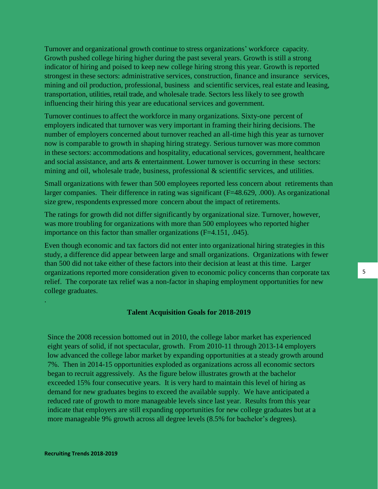Turnover and organizational growth continue to stress organizations' workforce capacity. Growth pushed college hiring higher during the past several years. Growth is still a strong indicator of hiring and poised to keep new college hiring strong this year. Growth is reported strongest in these sectors: administrative services, construction, finance and insurance services, mining and oil production, professional, business and scientific services, real estate and leasing, transportation, utilities, retail trade, and wholesale trade. Sectors less likely to see growth influencing their hiring this year are educational services and government.

Turnover continues to affect the workforce in many organizations. Sixty-one percent of employers indicated that turnover was very important in framing their hiring decisions. The number of employers concerned about turnover reached an all-time high this year as turnover now is comparable to growth in shaping hiring strategy. Serious turnover was more common in these sectors: accommodations and hospitality, educational services, government, healthcare and social assistance, and arts & entertainment. Lower turnover is occurring in these sectors: mining and oil, wholesale trade, business, professional  $\&$  scientific services, and utilities.

Small organizations with fewer than 500 employees reported less concern about retirements than larger companies. Their difference in rating was significant (F=48.629, .000). As organizational size grew, respondents expressed more concern about the impact of retirements.

The ratings for growth did not differ significantly by organizational size. Turnover, however, was more troubling for organizations with more than 500 employees who reported higher importance on this factor than smaller organizations (F=4.151, .045).

Even though economic and tax factors did not enter into organizational hiring strategies in this study, a difference did appear between large and small organizations. Organizations with fewer than 500 did not take either of these factors into their decision at least at this time. Larger organizations reported more consideration given to economic policy concerns than corporate tax relief. The corporate tax relief was a non-factor in shaping employment opportunities for new college graduates.

#### **Talent Acquisition Goals for 2018-2019**

Since the 2008 recession bottomed out in 2010, the college labor market has experienced eight years of solid, if not spectacular, growth. From 2010-11 through 2013-14 employers low advanced the college labor market by expanding opportunities at a steady growth around 7%. Then in 2014-15 opportunities exploded as organizations across all economic sectors began to recruit aggressively. As the figure below illustrates growth at the bachelor exceeded 15% four consecutive years. It is very hard to maintain this level of hiring as demand for new graduates begins to exceed the available supply. We have anticipated a reduced rate of growth to more manageable levels since last year. Results from this year indicate that employers are still expanding opportunities for new college graduates but at a more manageable 9% growth across all degree levels (8.5% for bachelor's degrees).

.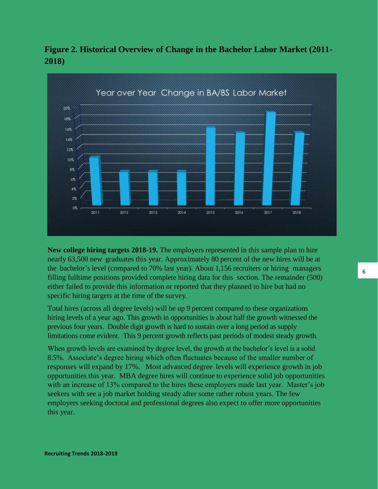

**Figure 2. Historical Overview of Change in the Bachelor Labor Market (2011- 2018)**

**New college hiring targets 2018-19.** The employers represented in this sample plan to hire nearly 63,500 new graduates this year. Approximately 80 percent of the new hires will be at the bachelor's level (compared to 70% last year). About 1,156 recruiters or hiring managers filling fulltime positions provided complete hiring data for this section. The remainder (500) either failed to provide this information or reported that they planned to hire but had no specific hiring targets at the time of the survey.

Total hires (across all degree levels) will be up 9 percent compared to these organizations hiring levels of a year ago. This growth in opportunities is about half the growth witnessed the previous four years. Double digit growth is hard to sustain over a long period as supply limitations come evident. This 9 percent growth reflects past periods of modest steady growth.

When growth levels are examined by degree level, the growth at the bachelor's level is a solid 8.5%. Associate's degree hiring which often fluctuates because of the smaller number of responses will expand by 17%. Most advanced degree levels will experience growth in job opportunities this year. MBA degree hires will continue to experience solid job opportunities with an increase of 13% compared to the hires these employers made last year. Master's job seekers with see a job market holding steady after some rather robust years. The few employers seeking doctoral and professional degrees also expect to offer more opportunities this year.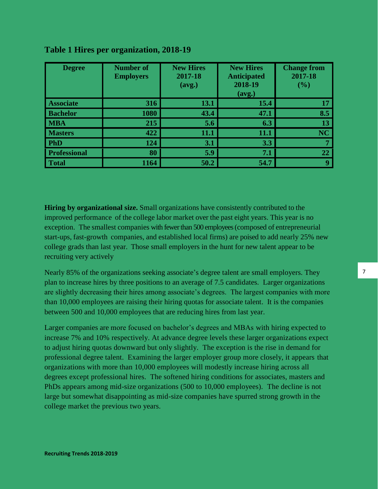| <b>Degree</b>       | <b>Number of</b><br><b>Employers</b> | <b>New Hires</b><br>2017-18<br>(avg.) | <b>New Hires</b><br><b>Anticipated</b><br>2018-19<br>(avg.) | <b>Change from</b><br>2017-18<br>(%) |
|---------------------|--------------------------------------|---------------------------------------|-------------------------------------------------------------|--------------------------------------|
| <b>Associate</b>    | 316                                  | 13.1                                  | 15.4                                                        | 17                                   |
| <b>Bachelor</b>     | 1080                                 | 43.4                                  | 47.1                                                        | 8.5                                  |
| <b>MBA</b>          | 215                                  | 5.6                                   | 6.3                                                         | 13                                   |
| <b>Masters</b>      | 422                                  | 11.1                                  | 11.1                                                        | <b>NC</b>                            |
| <b>PhD</b>          | 124                                  | 3.1                                   | 3.3                                                         |                                      |
| <b>Professional</b> | 80                                   | 5.9                                   | 7.1                                                         | 22                                   |
| <b>Total</b>        | 1164                                 | 50.2                                  | 54.7                                                        | q                                    |

# **Table 1 Hires per organization, 2018-19**

**Hiring by organizational size.** Small organizations have consistently contributed to the improved performance of the college labor market over the past eight years. This year is no exception. The smallest companies with fewer than 500 employees (composed of entrepreneurial start-ups, fast-growth companies, and established local firms) are poised to add nearly 25% new college grads than last year. Those small employers in the hunt for new talent appear to be recruiting very actively

Nearly 85% of the organizations seeking associate's degree talent are small employers. They plan to increase hires by three positions to an average of 7.5 candidates. Larger organizations are slightly decreasing their hires among associate's degrees. The largest companies with more than 10,000 employees are raising their hiring quotas for associate talent. It is the companies between 500 and 10,000 employees that are reducing hires from last year.

Larger companies are more focused on bachelor's degrees and MBAs with hiring expected to increase 7% and 10% respectively. At advance degree levels these larger organizations expect to adjust hiring quotas downward but only slightly. The exception is the rise in demand for professional degree talent. Examining the larger employer group more closely, it appears that organizations with more than 10,000 employees will modestly increase hiring across all degrees except professional hires. The softened hiring conditions for associates, masters and PhDs appears among mid-size organizations (500 to 10,000 employees). The decline is not large but somewhat disappointing as mid-size companies have spurred strong growth in the college market the previous two years.

7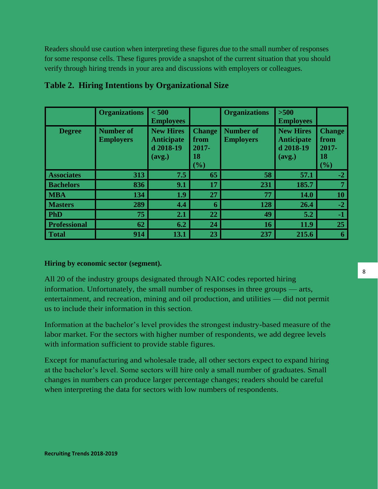Readers should use caution when interpreting these figures due to the small number of responses for some response cells. These figures provide a snapshot of the current situation that you should verify through hiring trends in your area and discussions with employers or colleagues.

|                     | <b>Organizations</b>                 | < 500<br><b>Employees</b>                                    |                                                | <b>Organizations</b>                 | $>500$<br><b>Employees</b>                                   |                                                   |
|---------------------|--------------------------------------|--------------------------------------------------------------|------------------------------------------------|--------------------------------------|--------------------------------------------------------------|---------------------------------------------------|
| <b>Degree</b>       | <b>Number of</b><br><b>Employers</b> | <b>New Hires</b><br><b>Anticipate</b><br>d 2018-19<br>(avg.) | <b>Change</b><br>from<br>2017-<br>18<br>$(\%)$ | <b>Number of</b><br><b>Employers</b> | <b>New Hires</b><br><b>Anticipate</b><br>d 2018-19<br>(avg.) | <b>Change</b><br>from<br>$2017 -$<br>18<br>$(\%)$ |
| <b>Associates</b>   | 313                                  | 7.5                                                          | 65                                             | 58                                   | 57.1                                                         | $-2$                                              |
| <b>Bachelors</b>    | 836                                  | 9.1                                                          | 17                                             | 231                                  | 185.7                                                        | 7                                                 |
| <b>MBA</b>          | 134                                  | 1.9                                                          | 27                                             | 77                                   | 14.0                                                         | <b>10</b>                                         |
| <b>Masters</b>      | 289                                  | 4.4                                                          | 6                                              | 128                                  | 26.4                                                         | $-2$                                              |
| <b>PhD</b>          | 75                                   | 2.1                                                          | 22                                             | 49                                   | 5.2                                                          | $-1$                                              |
| <b>Professional</b> | 62                                   | 6.2                                                          | 24                                             | <b>16</b>                            | 11.9                                                         | 25                                                |
| <b>Total</b>        | 914                                  | 13.1                                                         | 23                                             | 237                                  | 215.6                                                        | 6                                                 |

# **Table 2. Hiring Intentions by Organizational Size**

**Hiring by economic sector (segment).**

All 20 of the industry groups designated through NAIC codes reported hiring information. Unfortunately, the small number of responses in three groups — arts, entertainment, and recreation, mining and oil production, and utilities — did not permit us to include their information in this section.

Information at the bachelor's level provides the strongest industry-based measure of the labor market. For the sectors with higher number of respondents, we add degree levels with information sufficient to provide stable figures.

Except for manufacturing and wholesale trade, all other sectors expect to expand hiring at the bachelor's level. Some sectors will hire only a small number of graduates. Small changes in numbers can produce larger percentage changes; readers should be careful when interpreting the data for sectors with low numbers of respondents.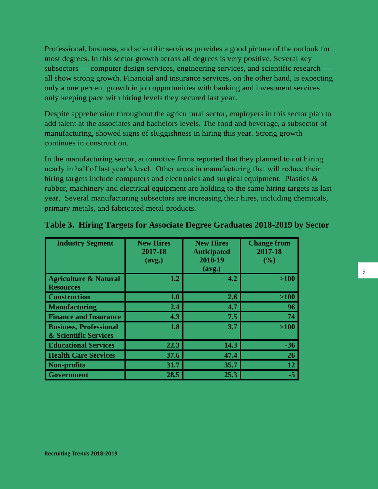Professional, business, and scientific services provides a good picture of the outlook for most degrees. In this sector growth across all degrees is very positive. Several key subsectors — computer design services, engineering services, and scientific research all show strong growth. Financial and insurance services, on the other hand, is expecting only a one percent growth in job opportunities with banking and investment services only keeping pace with hiring levels they secured last year.

Despite apprehension throughout the agricultural sector, employers in this sector plan to add talent at the associates and bachelors levels. The food and beverage, a subsector of manufacturing, showed signs of sluggishness in hiring this year. Strong growth continues in construction.

In the manufacturing sector, automotive firms reported that they planned to cut hiring nearly in half of last year's level. Other areas in manufacturing that will reduce their hiring targets include computers and electronics and surgical equipment. Plastics & rubber, machinery and electrical equipment are holding to the same hiring targets as last year. Several manufacturing subsectors are increasing their hires, including chemicals, primary metals, and fabricated metal products.

| <b>Industry Segment</b>                                           | <b>New Hires</b><br>2017-18<br>(avg.) | <b>New Hires</b><br><b>Anticipated</b><br>2018-19<br>(avg.) | <b>Change from</b><br>2017-18<br>(%) |
|-------------------------------------------------------------------|---------------------------------------|-------------------------------------------------------------|--------------------------------------|
| <b>Agriculture &amp; Natural</b><br><b>Resources</b>              | 1.2                                   | 4.2                                                         | $>100$                               |
| <b>Construction</b>                                               | 1.0                                   | 2.6                                                         | $>100$                               |
| <b>Manufacturing</b>                                              | 2.4                                   | 4.7                                                         | 96                                   |
| <b>Finance and Insurance</b>                                      | 4.3                                   | 7.5                                                         | 74                                   |
| <b>Business, Professional</b><br><b>&amp; Scientific Services</b> | 1.8                                   | 3.7                                                         | $>100$                               |
| <b>Educational Services</b>                                       | 22.3                                  | 14.3                                                        | $-36$                                |
| <b>Health Care Services</b>                                       | 37.6                                  | 47.4                                                        | 26                                   |
| <b>Non-profits</b>                                                | 31.7                                  | 35.7                                                        | 12                                   |
| <b>Government</b>                                                 | 28.5                                  | 25.3                                                        | $-5$                                 |

### **Table 3. Hiring Targets for Associate Degree Graduates 2018-2019 by Sector**

9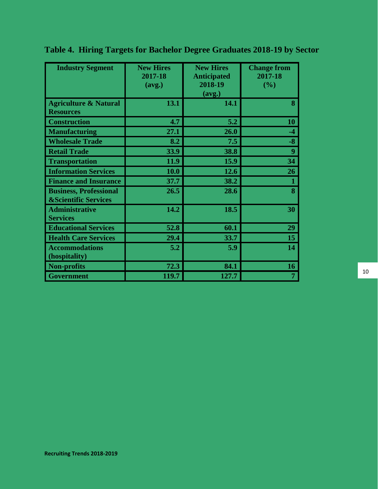| <b>Industry Segment</b>                                          | <b>New Hires</b><br>2017-18<br>(avg.) | <b>New Hires</b><br><b>Anticipated</b><br>2018-19<br>(avg.) | <b>Change from</b><br>2017-18<br>(%) |
|------------------------------------------------------------------|---------------------------------------|-------------------------------------------------------------|--------------------------------------|
| <b>Agriculture &amp; Natural</b><br><b>Resources</b>             | 13.1                                  | 14.1                                                        | 8                                    |
| <b>Construction</b>                                              | 4.7                                   | 5.2                                                         | 10                                   |
| <b>Manufacturing</b>                                             | 27.1                                  | 26.0                                                        | $-4$                                 |
| <b>Wholesale Trade</b>                                           | 8.2                                   | 7.5                                                         | -8                                   |
| <b>Retail Trade</b>                                              | 33.9                                  | 38.8                                                        | 9                                    |
| <b>Transportation</b>                                            | 11.9                                  | 15.9                                                        | 34                                   |
| <b>Information Services</b>                                      | <b>10.0</b>                           | 12.6                                                        | 26                                   |
| <b>Finance and Insurance</b>                                     | 37.7                                  | 38.2                                                        | 1                                    |
| <b>Business, Professional</b><br><b>&amp;Scientific Services</b> | 26.5                                  | 28.6                                                        | 8                                    |
| <b>Administrative</b><br><b>Services</b>                         | 14.2                                  | 18.5                                                        | 30                                   |
| <b>Educational Services</b>                                      | 52.8                                  | 60.1                                                        | 29                                   |
| <b>Health Care Services</b>                                      | 29.4                                  | 33.7                                                        | 15                                   |
| <b>Accommodations</b><br>(hospitality)                           | 5.2                                   | 5.9                                                         | 14                                   |
| <b>Non-profits</b>                                               | 72.3                                  | 84.1                                                        | 16                                   |
| Government                                                       | 119.7                                 | 127.7                                                       | $\overline{7}$                       |

**Table 4. Hiring Targets for Bachelor Degree Graduates 2018-19 by Sector**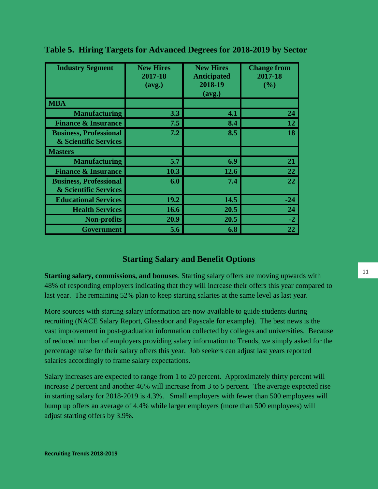| <b>Industry Segment</b>                                           | <b>New Hires</b><br>2017-18<br>(avg.) | <b>New Hires</b><br><b>Anticipated</b><br>2018-19<br>(avg.) | <b>Change from</b><br>2017-18<br>(%) |
|-------------------------------------------------------------------|---------------------------------------|-------------------------------------------------------------|--------------------------------------|
| <b>MBA</b>                                                        |                                       |                                                             |                                      |
| <b>Manufacturing</b>                                              | 3.3                                   | 4.1                                                         | 24                                   |
| <b>Finance &amp; Insurance</b>                                    | 7.5                                   | 8.4                                                         | 12                                   |
| <b>Business, Professional</b><br><b>&amp; Scientific Services</b> | 7.2                                   | 8.5                                                         | 18                                   |
| <b>Masters</b>                                                    |                                       |                                                             |                                      |
| <b>Manufacturing</b>                                              | 5.7                                   | 6.9                                                         | 21                                   |
| <b>Finance &amp; Insurance</b>                                    | 10.3                                  | 12.6                                                        | 22                                   |
| <b>Business, Professional</b><br>& Scientific Services            | 6.0                                   | 7.4                                                         | 22                                   |
| <b>Educational Services</b>                                       | 19.2                                  | 14.5                                                        | $-24$                                |
| <b>Health Services</b>                                            | 16.6                                  | 20.5                                                        | 24                                   |
| <b>Non-profits</b>                                                | 20.9                                  | 20.5                                                        | $-2$                                 |
| <b>Government</b>                                                 | 5.6                                   | 6.8                                                         | 22                                   |

**Table 5. Hiring Targets for Advanced Degrees for 2018-2019 by Sector**

# **Starting Salary and Benefit Options**

**Starting salary, commissions, and bonuses**. Starting salary offers are moving upwards with 48% of responding employers indicating that they will increase their offers this year compared to last year. The remaining 52% plan to keep starting salaries at the same level as last year.

More sources with starting salary information are now available to guide students during recruiting (NACE Salary Report, Glassdoor and Payscale for example). The best news is the vast improvement in post-graduation information collected by colleges and universities. Because of reduced number of employers providing salary information to Trends, we simply asked for the percentage raise for their salary offers this year. Job seekers can adjust last years reported salaries accordingly to frame salary expectations.

Salary increases are expected to range from 1 to 20 percent. Approximately thirty percent will increase 2 percent and another 46% will increase from 3 to 5 percent. The average expected rise in starting salary for 2018-2019 is 4.3%. Small employers with fewer than 500 employees will bump up offers an average of 4.4% while larger employers (more than 500 employees) will adjust starting offers by 3.9%.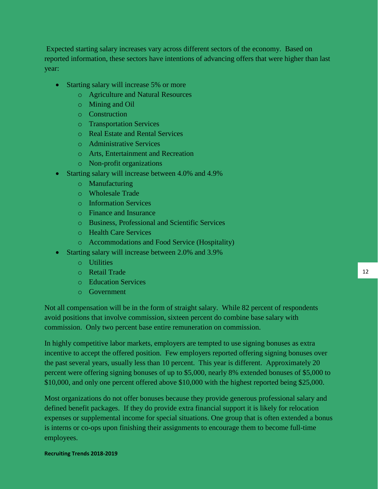Expected starting salary increases vary across different sectors of the economy. Based on reported information, these sectors have intentions of advancing offers that were higher than last year:

- Starting salary will increase 5% or more
	- o Agriculture and Natural Resources
	- o Mining and Oil
	- o Construction
	- o Transportation Services
	- o Real Estate and Rental Services
	- o Administrative Services
	- o Arts, Entertainment and Recreation
	- o Non-profit organizations
- Starting salary will increase between 4.0% and 4.9%
	- o Manufacturing
	- o Wholesale Trade
	- o Information Services
	- o Finance and Insurance
	- o Business, Professional and Scientific Services
	- o Health Care Services
	- o Accommodations and Food Service (Hospitality)
- Starting salary will increase between 2.0% and 3.9%
	- o Utilities
	- o Retail Trade
	- o Education Services
	- o Government

Not all compensation will be in the form of straight salary. While 82 percent of respondents avoid positions that involve commission, sixteen percent do combine base salary with commission. Only two percent base entire remuneration on commission.

In highly competitive labor markets, employers are tempted to use signing bonuses as extra incentive to accept the offered position. Few employers reported offering signing bonuses over the past several years, usually less than 10 percent. This year is different. Approximately 20 percent were offering signing bonuses of up to \$5,000, nearly 8% extended bonuses of \$5,000 to \$10,000, and only one percent offered above \$10,000 with the highest reported being \$25,000.

Most organizations do not offer bonuses because they provide generous professional salary and defined benefit packages. If they do provide extra financial support it is likely for relocation expenses or supplemental income for special situations. One group that is often extended a bonus is interns or co-ops upon finishing their assignments to encourage them to become full-time employees.

#### **Recruiting Trends 2018-2019**